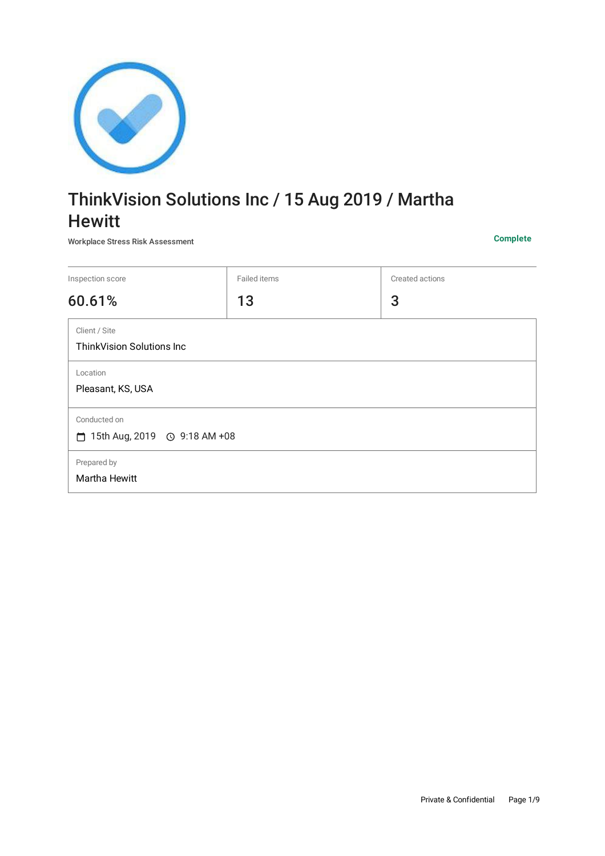

# ThinkVision Solutions Inc / 15 Aug 2019 / Martha **Hewitt**

Workplace Stress Risk Assessment **Complete**

| Inspection score                                   | Failed items | Created actions |  |
|----------------------------------------------------|--------------|-----------------|--|
| 60.61%                                             | 13           | 3               |  |
| Client / Site<br><b>ThinkVision Solutions Inc.</b> |              |                 |  |
| Location<br>Pleasant, KS, USA                      |              |                 |  |
| Conducted on<br>□                                  |              |                 |  |
| Prepared by<br>Martha Hewitt                       |              |                 |  |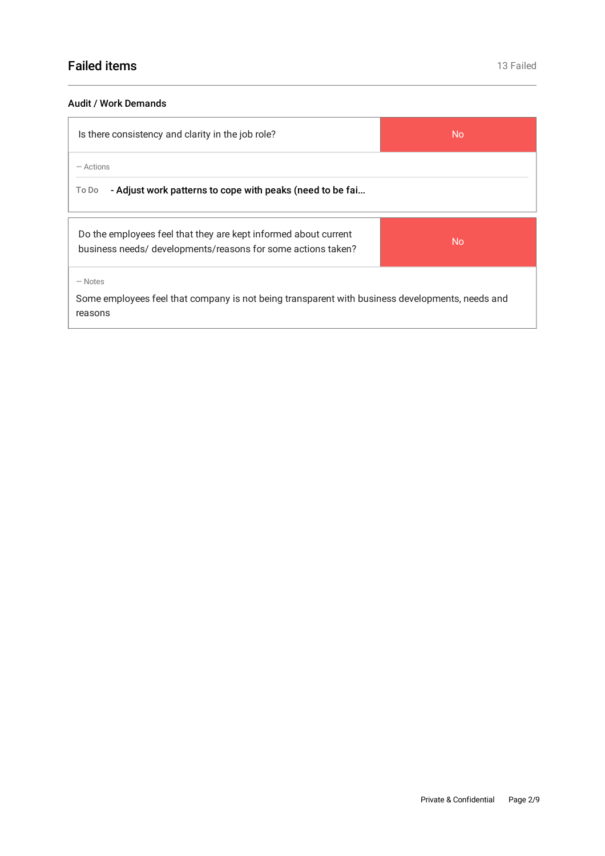## Audit / Work Demands

| Is there consistency and clarity in the job role?                                                                               | <b>No</b> |  |
|---------------------------------------------------------------------------------------------------------------------------------|-----------|--|
| $-$ Actions<br>- Adjust work patterns to cope with peaks (need to be fai<br>To Do                                               |           |  |
| Do the employees feel that they are kept informed about current<br>business needs/ developments/reasons for some actions taken? | <b>No</b> |  |
| $-$ Notes<br>Some employees feel that company is not being transparent with business developments, needs and<br>reasons         |           |  |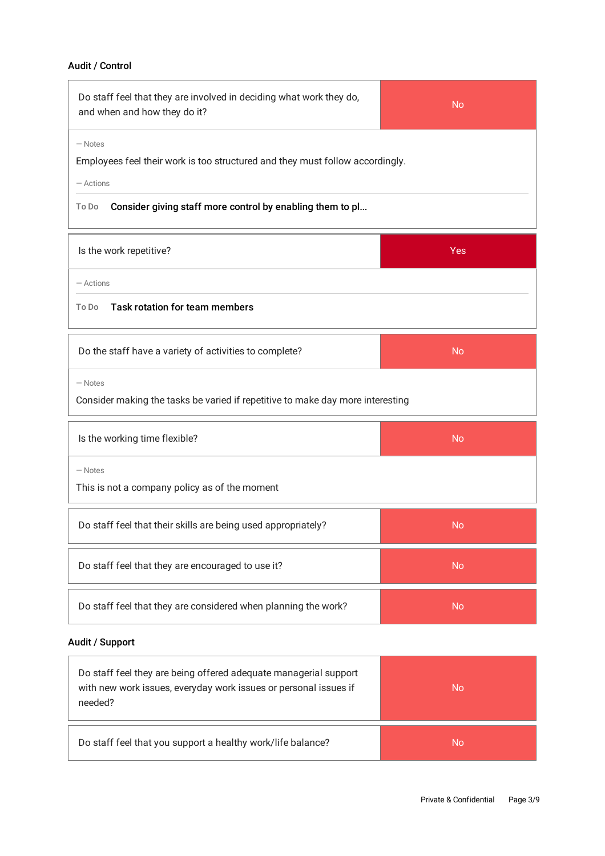# Audit / Control

| Do staff feel that they are involved in deciding what work they do,<br>and when and how they do it?                                                                             | <b>No</b> |  |
|---------------------------------------------------------------------------------------------------------------------------------------------------------------------------------|-----------|--|
| $-$ Notes<br>Employees feel their work is too structured and they must follow accordingly.<br>$-$ Actions<br>Consider giving staff more control by enabling them to pl<br>To Do |           |  |
| Is the work repetitive?                                                                                                                                                         | Yes       |  |
| $-$ Actions<br><b>Task rotation for team members</b><br>To Do                                                                                                                   |           |  |
| Do the staff have a variety of activities to complete?                                                                                                                          | <b>No</b> |  |
| $-$ Notes<br>Consider making the tasks be varied if repetitive to make day more interesting                                                                                     |           |  |

| Is the working time flexible?                                 | <b>No</b> |
|---------------------------------------------------------------|-----------|
| $-$ Notes<br>This is not a company policy as of the moment    |           |
| Do staff feel that their skills are being used appropriately? | <b>No</b> |
| Do staff feel that they are encouraged to use it?             | No        |

| Do staff feel that they are considered when planning the work? | Mđ |
|----------------------------------------------------------------|----|

## Audit / Support

 $\Gamma$ 

H

h

| Do staff feel they are being offered adequate managerial support<br>with new work issues, everyday work issues or personal issues if<br>needed? | No |
|-------------------------------------------------------------------------------------------------------------------------------------------------|----|
| Do staff feel that you support a healthy work/life balance?                                                                                     | No |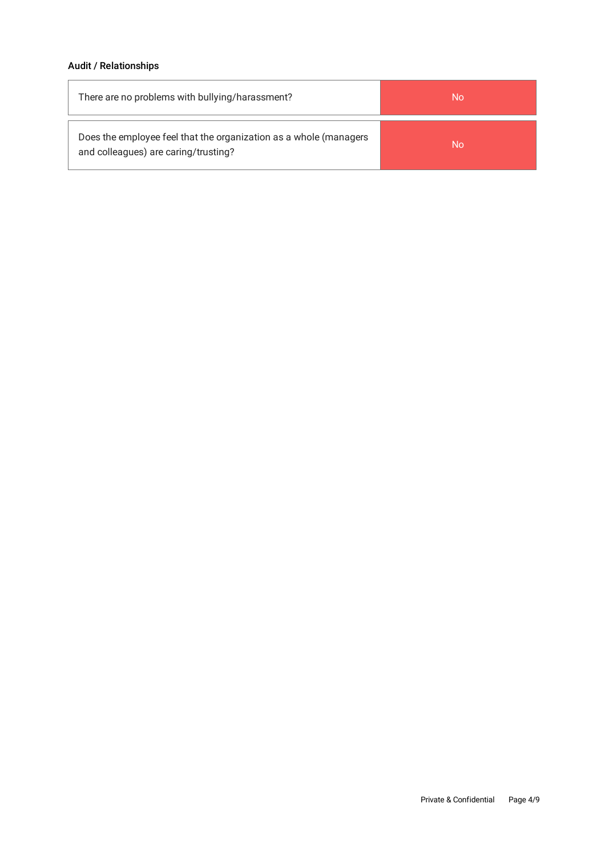# Audit / Relationships

| There are no problems with bullying/harassment?                                                           | No |
|-----------------------------------------------------------------------------------------------------------|----|
| Does the employee feel that the organization as a whole (managers<br>and colleagues) are caring/trusting? | Nο |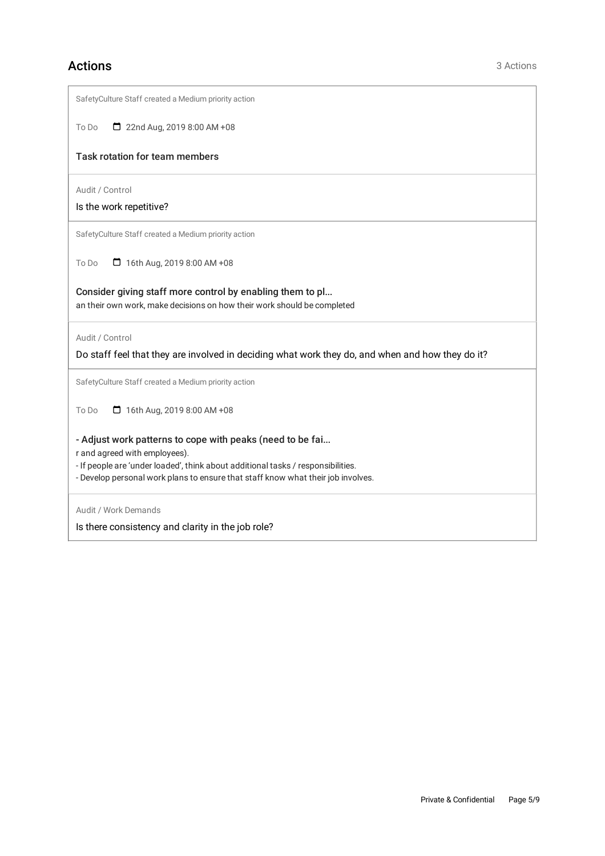# Actions 3 Actions 3 Actions

| SafetyCulture Staff created a Medium priority action                                                                                                                                                                                                               |
|--------------------------------------------------------------------------------------------------------------------------------------------------------------------------------------------------------------------------------------------------------------------|
| 22nd Aug, 2019 8:00 AM +08<br>To Do                                                                                                                                                                                                                                |
| <b>Task rotation for team members</b>                                                                                                                                                                                                                              |
| Audit / Control<br>Is the work repetitive?                                                                                                                                                                                                                         |
| SafetyCulture Staff created a Medium priority action                                                                                                                                                                                                               |
| 16th Aug, 2019 8:00 AM +08<br>To Do                                                                                                                                                                                                                                |
| Consider giving staff more control by enabling them to pl<br>an their own work, make decisions on how their work should be completed                                                                                                                               |
| Audit / Control<br>Do staff feel that they are involved in deciding what work they do, and when and how they do it?                                                                                                                                                |
| SafetyCulture Staff created a Medium priority action                                                                                                                                                                                                               |
| $\Box$ 16th Aug, 2019 8:00 AM +08<br>To Do                                                                                                                                                                                                                         |
| - Adjust work patterns to cope with peaks (need to be fai<br>r and agreed with employees).<br>- If people are 'under loaded', think about additional tasks / responsibilities.<br>- Develop personal work plans to ensure that staff know what their job involves. |
| Audit / Work Demands<br>Is there consistency and clarity in the job role?                                                                                                                                                                                          |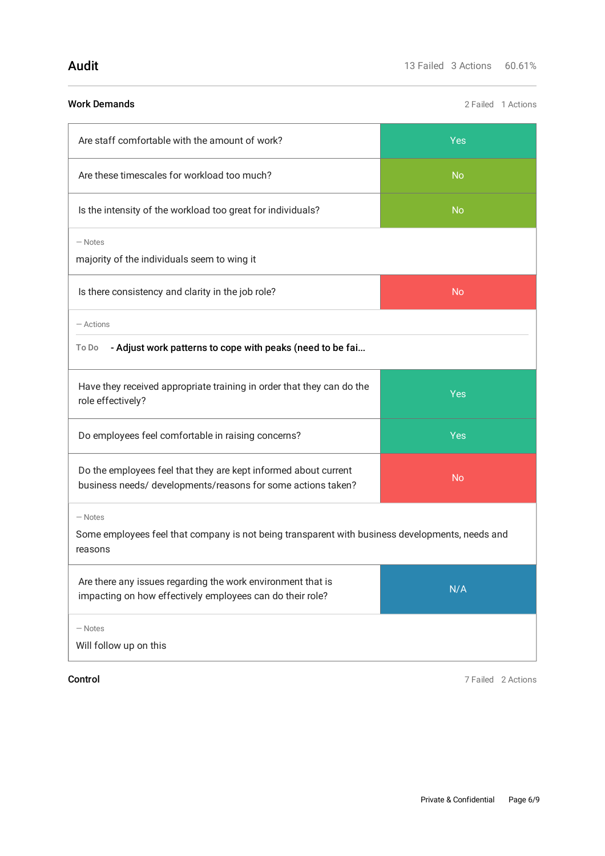| <b>Work Demands</b>                                                                                                             | 2 Failed 1 Actions |  |
|---------------------------------------------------------------------------------------------------------------------------------|--------------------|--|
| Are staff comfortable with the amount of work?                                                                                  | Yes                |  |
| Are these timescales for workload too much?                                                                                     | <b>No</b>          |  |
| Is the intensity of the workload too great for individuals?                                                                     | <b>No</b>          |  |
| $-$ Notes<br>majority of the individuals seem to wing it                                                                        |                    |  |
| Is there consistency and clarity in the job role?                                                                               | <b>No</b>          |  |
| - Actions                                                                                                                       |                    |  |
| - Adjust work patterns to cope with peaks (need to be fai<br>To Do                                                              |                    |  |
| Have they received appropriate training in order that they can do the<br>role effectively?                                      | Yes                |  |
| Do employees feel comfortable in raising concerns?                                                                              | Yes                |  |
| Do the employees feel that they are kept informed about current<br>business needs/ developments/reasons for some actions taken? | <b>No</b>          |  |
| $-$ Notes<br>Some employees feel that company is not being transparent with business developments, needs and<br>reasons         |                    |  |
| Are there any issues regarding the work environment that is<br>impacting on how effectively employees can do their role?        | N/A                |  |
| $-$ Notes<br>Will follow up on this                                                                                             |                    |  |

Control 7 Failed 2 Actions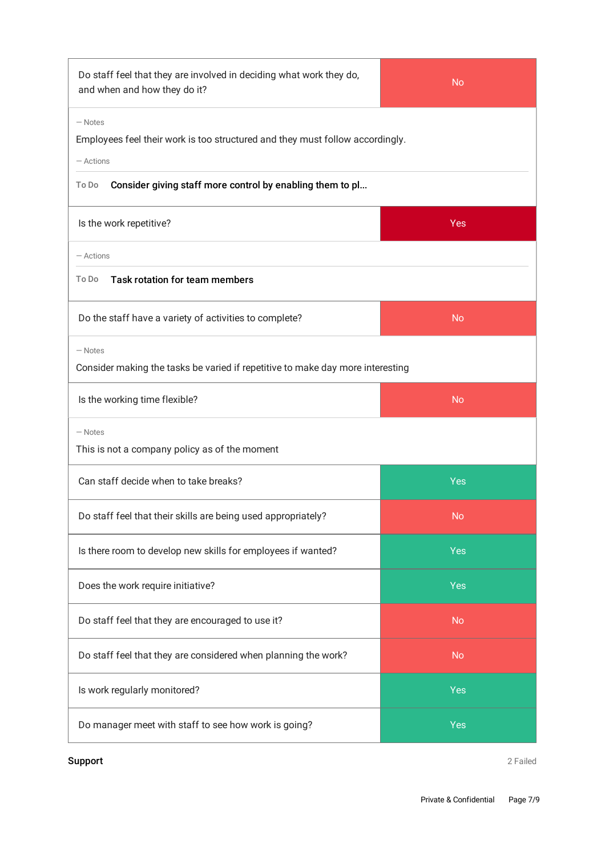| Do staff feel that they are involved in deciding what work they do,<br>and when and how they do it?     | <b>No</b>  |  |  |
|---------------------------------------------------------------------------------------------------------|------------|--|--|
| $-$ Notes<br>Employees feel their work is too structured and they must follow accordingly.<br>- Actions |            |  |  |
| Consider giving staff more control by enabling them to pl<br>To Do                                      |            |  |  |
| Is the work repetitive?                                                                                 | Yes        |  |  |
| - Actions                                                                                               |            |  |  |
| Task rotation for team members<br>To Do                                                                 |            |  |  |
| Do the staff have a variety of activities to complete?                                                  | <b>No</b>  |  |  |
| $-$ Notes<br>Consider making the tasks be varied if repetitive to make day more interesting             |            |  |  |
| Is the working time flexible?                                                                           | <b>No</b>  |  |  |
| $-$ Notes<br>This is not a company policy as of the moment                                              |            |  |  |
| Can staff decide when to take breaks?                                                                   | Yes        |  |  |
| Do staff feel that their skills are being used appropriately?                                           | <b>No</b>  |  |  |
| Is there room to develop new skills for employees if wanted?                                            | Yes        |  |  |
| Does the work require initiative?                                                                       | Yes        |  |  |
| Do staff feel that they are encouraged to use it?                                                       | <b>No</b>  |  |  |
| Do staff feel that they are considered when planning the work?                                          | <b>No</b>  |  |  |
| Is work regularly monitored?                                                                            | Yes        |  |  |
| Do manager meet with staff to see how work is going?                                                    | <b>Yes</b> |  |  |

**Support** 2 Failed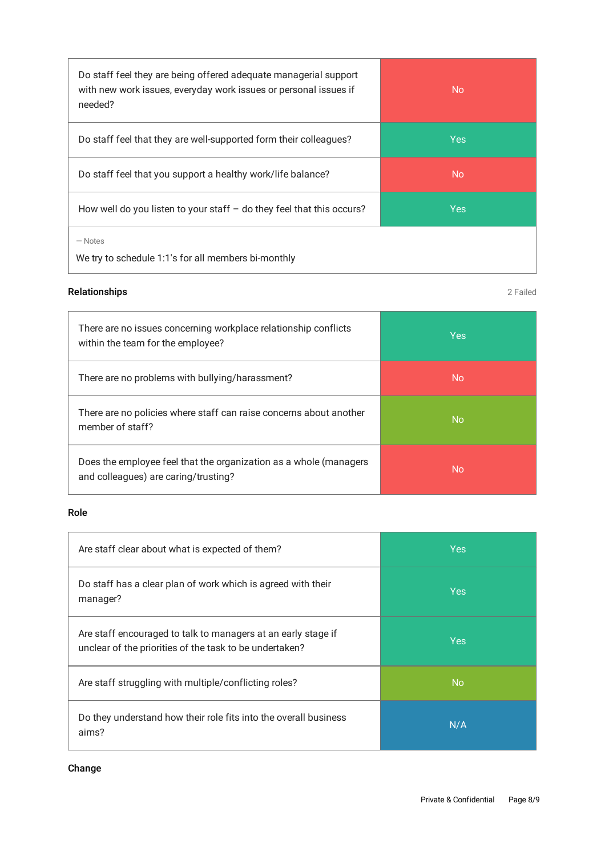| Do staff feel they are being offered adequate managerial support<br>with new work issues, everyday work issues or personal issues if<br>needed? | <b>No</b>  |
|-------------------------------------------------------------------------------------------------------------------------------------------------|------------|
| Do staff feel that they are well-supported form their colleagues?                                                                               | <b>Yes</b> |
| Do staff feel that you support a healthy work/life balance?                                                                                     | <b>No</b>  |
| How well do you listen to your staff $-$ do they feel that this occurs?                                                                         | <b>Yes</b> |
| $-$ Notes<br>We try to schedule 1:1's for all members bi-monthly                                                                                |            |

# Relationships 2 Failed

| There are no issues concerning workplace relationship conflicts<br>within the team for the employee?      | <b>Yes</b> |
|-----------------------------------------------------------------------------------------------------------|------------|
| There are no problems with bullying/harassment?                                                           | No         |
| There are no policies where staff can raise concerns about another<br>member of staff?                    | <b>No</b>  |
| Does the employee feel that the organization as a whole (managers<br>and colleagues) are caring/trusting? | No.        |

# Role

| Are staff clear about what is expected of them?                                                                          | <b>Yes</b> |
|--------------------------------------------------------------------------------------------------------------------------|------------|
| Do staff has a clear plan of work which is agreed with their<br>manager?                                                 | <b>Yes</b> |
| Are staff encouraged to talk to managers at an early stage if<br>unclear of the priorities of the task to be undertaken? | <b>Yes</b> |
| Are staff struggling with multiple/conflicting roles?                                                                    | <b>No</b>  |
| Do they understand how their role fits into the overall business<br>aims?                                                | N/A        |

# Change